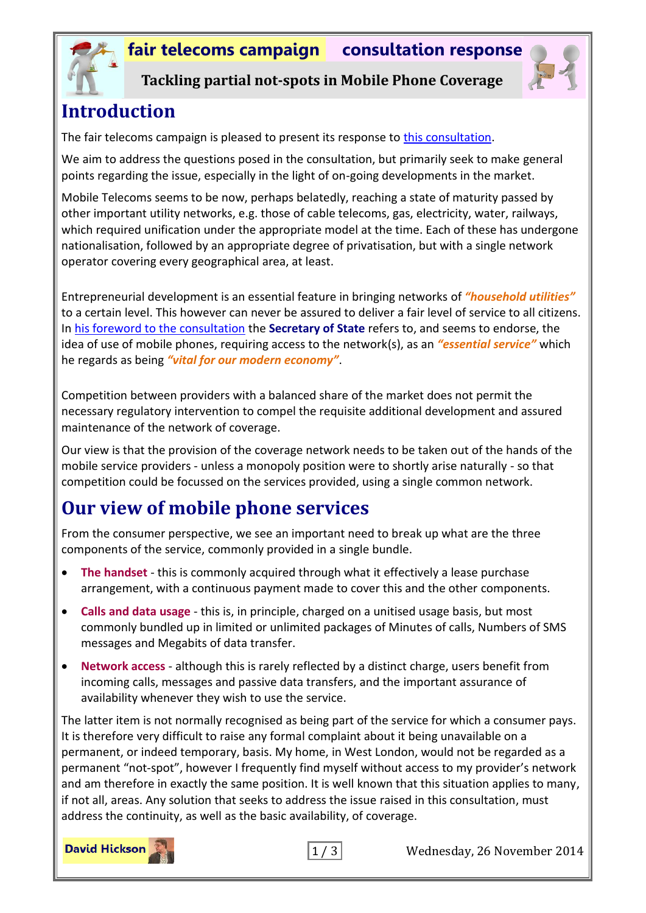

**Tackling partial not-spots in Mobile Phone Coverage**

# **Introduction**

The fair telecoms campaign is pleased to present its response to [this consultation.](https://www.gov.uk/government/uploads/system/uploads/attachment_data/file/370808/formatted_condoc_final.pdf)

We aim to address the questions posed in the consultation, but primarily seek to make general points regarding the issue, especially in the light of on-going developments in the market.

Mobile Telecoms seems to be now, perhaps belatedly, reaching a state of maturity passed by other important utility networks, e.g. those of cable telecoms, gas, electricity, water, railways, which required unification under the appropriate model at the time. Each of these has undergone nationalisation, followed by an appropriate degree of privatisation, but with a single network operator covering every geographical area, at least.

Entrepreneurial development is an essential feature in bringing networks of *"household utilities"* to a certain level. This however can never be assured to deliver a fair level of service to all citizens. In [his foreword to the consultation](https://www.gov.uk/government/uploads/system/uploads/attachment_data/file/370808/formatted_condoc_final.pdf#page=4) the **Secretary of State** refers to, and seems to endorse, the idea of use of mobile phones, requiring access to the network(s), as an *"essential service"* which he regards as being *"vital for our modern economy"*.

Competition between providers with a balanced share of the market does not permit the necessary regulatory intervention to compel the requisite additional development and assured maintenance of the network of coverage.

Our view is that the provision of the coverage network needs to be taken out of the hands of the mobile service providers - unless a monopoly position were to shortly arise naturally - so that competition could be focussed on the services provided, using a single common network.

# **Our view of mobile phone services**

From the consumer perspective, we see an important need to break up what are the three components of the service, commonly provided in a single bundle.

- **The handset** this is commonly acquired through what it effectively a lease purchase arrangement, with a continuous payment made to cover this and the other components.
- **Calls and data usage** this is, in principle, charged on a unitised usage basis, but most commonly bundled up in limited or unlimited packages of Minutes of calls, Numbers of SMS messages and Megabits of data transfer.
- **Network access** although this is rarely reflected by a distinct charge, users benefit from incoming calls, messages and passive data transfers, and the important assurance of availability whenever they wish to use the service.

The latter item is not normally recognised as being part of the service for which a consumer pays. It is therefore very difficult to raise any formal complaint about it being unavailable on a permanent, or indeed temporary, basis. My home, in West London, would not be regarded as a permanent "not-spot", however I frequently find myself without access to my provider's network and am therefore in exactly the same position. It is well known that this situation applies to many, if not all, areas. Any solution that seeks to address the issue raised in this consultation, must address the continuity, as well as the basic availability, of coverage.





1 / 3 Wednesday, 26 November 2014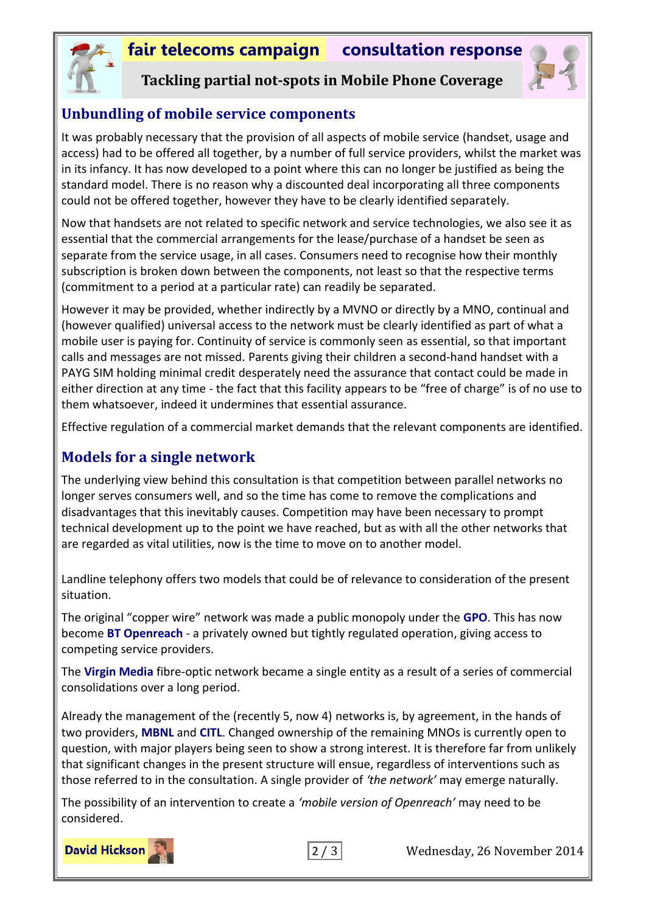# **fair telecoms campaign consultation response**



**Tackling partial not-spots in Mobile Phone Coverage**



#### **Unbundling of mobile service components**

It was probably necessary that the provision of all aspects of mobile service (handset, usage and access) had to be offered all together, by a number of full service providers, whilst the market was in its infancy. It has now developed to a point where this can no longer be justified as being the standard model. There is no reason why a discounted deal incorporating all three components could not be offered together, however they have to be clearly identified separately.

Now that handsets are not related to specific network and service technologies, we also see it as essential that the commercial arrangements for the lease/purchase of a handset be seen as separate from the service usage, in all cases. Consumers need to recognise how their monthly subscription is broken down between the components, not least so that the respective terms (commitment to a period at a particular rate) can readily be separated.

However it may be provided, whether indirectly by a MVNO or directly by a MNO, continual and (however qualified) universal access to the network must be clearly identified as part of what a mobile user is paying for. Continuity of service is commonly seen as essential, so that important calls and messages are not missed. Parents giving their children a second-hand handset with a PAYG SIM holding minimal credit desperately need the assurance that contact could be made in either direction at any time - the fact that this facility appears to be "free of charge" is of no use to them whatsoever, indeed it undermines that essential assurance.

Effective regulation of a commercial market demands that the relevant components are identified.

### **Models for a single network**

The underlying view behind this consultation is that competition between parallel networks no longer serves consumers well, and so the time has come to remove the complications and disadvantages that this inevitably causes. Competition may have been necessary to prompt technical development up to the point we have reached, but as with all the other networks that are regarded as vital utilities, now is the time to move on to another model.

Landline telephony offers two models that could be of relevance to consideration of the present situation.

The original "copper wire" network was made a public monopoly under the **GPO**. This has now become **BT Openreach** - a privately owned but tightly regulated operation, giving access to competing service providers.

The **Virgin Media** fibre-optic network became a single entity as a result of a series of commercial consolidations over a long period.

Already the management of the (recently 5, now 4) networks is, by agreement, in the hands of two providers, **MBNL** and **CITL**. Changed ownership of the remaining MNOs is currently open to question, with major players being seen to show a strong interest. It is therefore far from unlikely that significant changes in the present structure will ensue, regardless of interventions such as those referred to in the consultation. A single provider of *'the network'* may emerge naturally.

The possibility of an intervention to create a *'mobile version of Openreach'* may need to be considered.





2 / 3 Wednesday, 26 November 2014